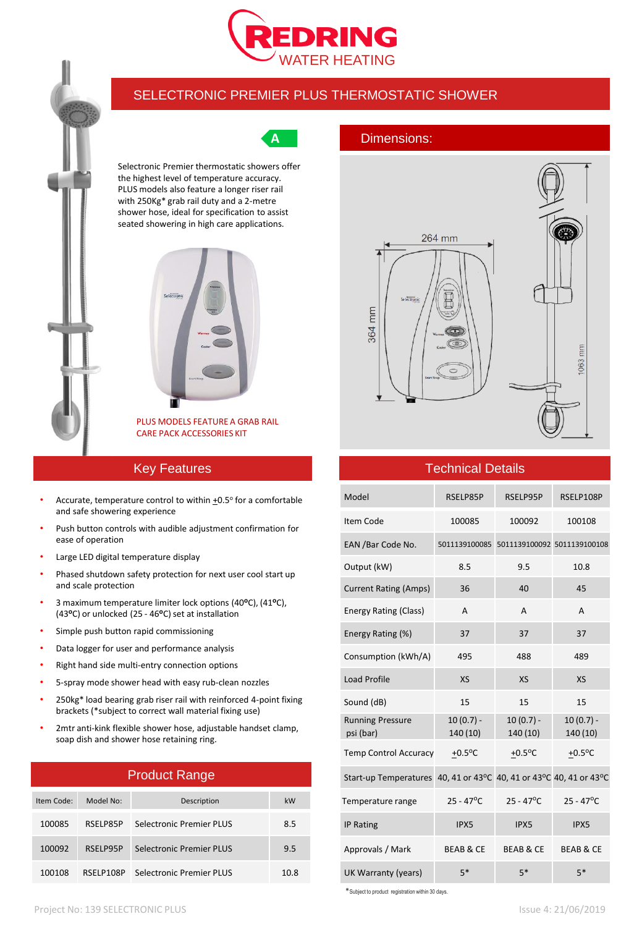



## SELECTRONIC PREMIER PLUS THERMOSTATIC SHOWER

Selectronic Premier thermostatic showers offer the highest level of temperature accuracy. PLUS models also feature a longer riser rail with 250Kg\* grab rail duty and a 2-metre shower hose, ideal for specification to assist seated showering in high care applications.



PLUS MODELS FEATURE A GRAB RAIL CARE PACK ACCESSORIES KIT

## Key Features

- Accurate, temperature control to within  $\pm 0.5^\circ$  for a comfortable and safe showering experience
- Push button controls with audible adjustment confirmation for ease of operation
- Large LED digital temperature display
- Phased shutdown safety protection for next user cool start up and scale protection
- 3 maximum temperature limiter lock options (40**o**C), (41**o**C), (43°C) or unlocked (25 - 46°C) set at installation
- Simple push button rapid commissioning
- Data logger for user and performance analysis
- Right hand side multi-entry connection options
- 5-spray mode shower head with easy rub-clean nozzles
- 250kg\* load bearing grab riser rail with reinforced 4-point fixing brackets (\*subject to correct wall material fixing use)
- 2mtr anti-kink flexible shower hose, adjustable handset clamp, soap dish and shower hose retaining ring.

# Product Range

| Item Code: | Model No: | Description              | kW   |
|------------|-----------|--------------------------|------|
| 100085     | RSELP85P  | Selectronic Premier PLUS | 8.5  |
| 100092     | RSFI P95P | Selectronic Premier PLUS | 9.5  |
| 100108     | RSELP108P | Selectronic Premier PLUS | 10.8 |

## **A** Dimensions:



# m 1063

## Technical Details

| Model                                                              | RSELP85P                | RSELP95P                                  | RSELP108P               |
|--------------------------------------------------------------------|-------------------------|-------------------------------------------|-------------------------|
| Item Code                                                          | 100085                  | 100092                                    | 100108                  |
| EAN / Bar Code No.                                                 |                         | 5011139100085 5011139100092 5011139100108 |                         |
| Output (kW)                                                        | 8.5                     | 9.5                                       | 10.8                    |
| <b>Current Rating (Amps)</b>                                       | 36                      | 40                                        | 45                      |
| <b>Energy Rating (Class)</b>                                       | A                       | A                                         | A                       |
| Energy Rating (%)                                                  | 37                      | 37                                        | 37                      |
| Consumption (kWh/A)                                                | 495                     | 488                                       | 489                     |
| <b>Load Profile</b>                                                | <b>XS</b>               | <b>XS</b>                                 | <b>XS</b>               |
| Sound (dB)                                                         | 15                      | 15                                        | 15                      |
| <b>Running Pressure</b><br>psi (bar)                               | $10(0.7) -$<br>140 (10) | $10(0.7) -$<br>140 (10)                   | $10(0.7) -$<br>140 (10) |
| <b>Temp Control Accuracy</b>                                       | $+0.5$ <sup>o</sup> C   | $+0.5$ °C                                 | $+0.5$ <sup>o</sup> C   |
| Start-up Temperatures 40, 41 or 43°C 40, 41 or 43°C 40, 41 or 43°C |                         |                                           |                         |
| Temperature range                                                  | $25 - 47^{\circ}C$      | $25 - 47^{\circ}C$                        | $25 - 47^{\circ}C$      |
| <b>IP Rating</b>                                                   | IPX5                    | IPX5                                      | IPX5                    |
| Approvals / Mark                                                   | <b>BEAB &amp; CE</b>    | <b>BEAB &amp; CE</b>                      | <b>BEAB &amp; CE</b>    |
| UK Warranty (years)                                                | $5*$                    | $5*$                                      | $5*$                    |

\*Subject to product registration within 30 days.